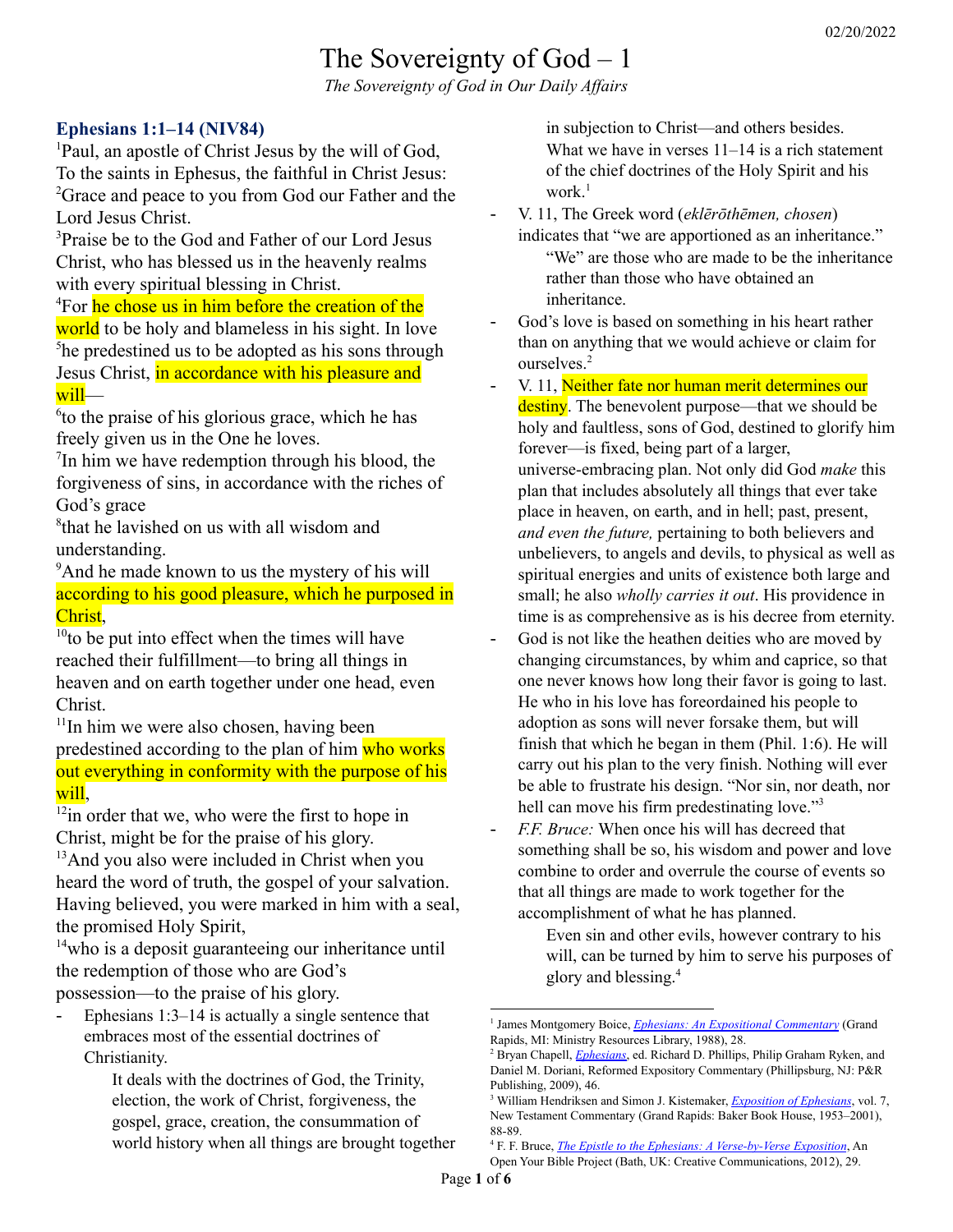# The Sovereignty of God – 1 *The Sovereignty of God in Our Daily Af airs*

### **Ephesians 1:1–14 (NIV84)**

<sup>1</sup>Paul, an apostle of Christ Jesus by the will of God, To the saints in Ephesus, the faithful in Christ Jesus: <sup>2</sup>Grace and peace to you from God our Father and the Lord Jesus Christ.

<sup>3</sup>Praise be to the God and Father of our Lord Jesus Christ, who has blessed us in the heavenly realms with every spiritual blessing in Christ.

<sup>4</sup>For he chose us in him before the creation of the world to be holy and blameless in his sight. In love <sup>5</sup>he predestined us to be adopted as his sons through Jesus Christ, in accordance with his pleasure and will—

6 to the praise of his glorious grace, which he has freely given us in the One he loves.

 $7$ In him we have redemption through his blood, the forgiveness of sins, in accordance with the riches of God's grace

8 that he lavished on us with all wisdom and understanding.

<sup>9</sup>And he made known to us the mystery of his will according to his good pleasure, which he purposed in Christ,

 $10$  to be put into effect when the times will have reached their fulfillment—to bring all things in heaven and on earth together under one head, even Christ.

<sup>11</sup>In him we were also chosen, having been predestined according to the plan of him who works out everything in conformity with the purpose of his will.

 $12$ in order that we, who were the first to hope in Christ, might be for the praise of his glory.

<sup>13</sup>And you also were included in Christ when you heard the word of truth, the gospel of your salvation. Having believed, you were marked in him with a seal, the promised Holy Spirit,

 $14$ who is a deposit guaranteeing our inheritance until the redemption of those who are God's possession—to the praise of his glory.

Ephesians  $1:3-14$  is actually a single sentence that embraces most of the essential doctrines of Christianity.

> It deals with the doctrines of God, the Trinity, election, the work of Christ, forgiveness, the gospel, grace, creation, the consummation of world history when all things are brought together

in subjection to Christ—and others besides. What we have in verses  $11-14$  is a rich statement of the chief doctrines of the Holy Spirit and his work. 1

- V. 11, The Greek word (*eklērōthēmen, chosen*) indicates that "we are apportioned as an inheritance."

"We" are those who are made to be the inheritance rather than those who have obtained an inheritance.

- God's love is based on something in his heart rather than on anything that we would achieve or claim for ourselves. 2
- V. 11, Neither fate nor human merit determines our destiny. The benevolent purpose—that we should be holy and faultless, sons of God, destined to glorify him forever—is fixed, being part of a larger, universe-embracing plan. Not only did God *make* this plan that includes absolutely all things that ever take place in heaven, on earth, and in hell; past, present, *and even the future,* pertaining to both believers and unbelievers, to angels and devils, to physical as well as spiritual energies and units of existence both large and small; he also *wholly carries it out*. His providence in time is as comprehensive as is his decree from eternity.
- God is not like the heathen deities who are moved by changing circumstances, by whim and caprice, so that one never knows how long their favor is going to last. He who in his love has foreordained his people to adoption as sons will never forsake them, but will finish that which he began in them (Phil. 1:6). He will carry out his plan to the very finish. Nothing will ever be able to frustrate his design. "Nor sin, nor death, nor hell can move his firm predestinating love."<sup>3</sup>
- *F.F. Bruce:* When once his will has decreed that something shall be so, his wisdom and power and love combine to order and overrule the course of events so that all things are made to work together for the accomplishment of what he has planned.

Even sin and other evils, however contrary to his will, can be turned by him to serve his purposes of glory and blessing. 4

<sup>1</sup> James Montgomery Boice, *Ephesians: An Expositional [Commentary](https://ref.ly/logosres/boicecm70eph?ref=Bible.Eph1.11-14&off=2436&ctx=ointed+out+earlier%2c+~Ephesians+1%3a3%E2%80%9314+is+)* (Grand Rapids, MI: Ministry Resources Library, 1988), 28.

<sup>2</sup> Bryan Chapell, *[Ephesians](https://ref.ly/logosres/rec70eph?ref=Bible.Eph1.11a&off=769&ctx=+are+distinct.+Here+~the+Greek+word+(ekl%C4%93)*, ed. Richard D. Phillips, Philip Graham Ryken, and Daniel M. Doriani, Reformed Expository Commentary (Phillipsburg, NJ: P&R Publishing, 2009), 46.

<sup>3</sup> William Hendriksen and Simon J. Kistemaker, *[Exposition](https://ref.ly/logosres/bkrc-eph?ref=Bible.Eph1.11&off=3056&ctx=ss.+2%3a13).%0aBesides%2c+~God+is+not+like+the+) of Ephesians*, vol. 7, New Testament Commentary (Grand Rapids: Baker Book House, 1953–2001), 88-89.

<sup>4</sup> F. F. Bruce, *The Epistle to the Ephesians: A [Verse-by-Verse](https://ref.ly/logosres/pstlphsnsvrsbxp?ref=Bible.Eph1.11&off=978&ctx=l.%E2%80%9D+That+is+to+say%2c+~when+once+his+will+h) Exposition*, An Open Your Bible Project (Bath, UK: Creative Communications, 2012), 29.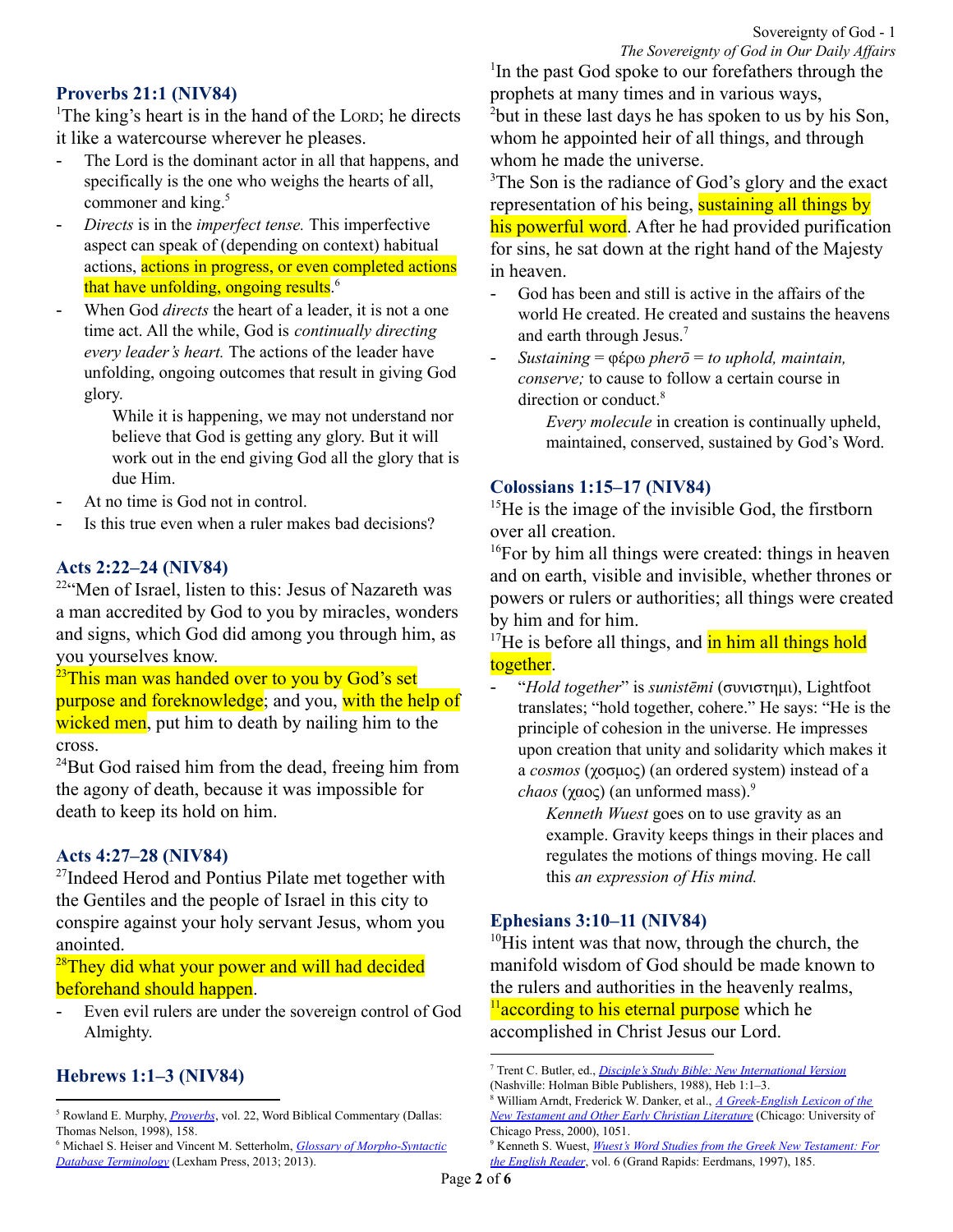### **Proverbs 21:1 (NIV84)**

<sup>1</sup>The king's heart is in the hand of the LORD; he directs it like a watercourse wherever he pleases.

- The Lord is the dominant actor in all that happens, and specifically is the one who weighs the hearts of all, commoner and king. 5
- *Directs* is in the *imperfect tense.* This imperfective aspect can speak of (depending on context) habitual actions, actions in progress, or even completed actions that have unfolding, ongoing results.<sup>6</sup>
- When God *directs* the heart of a leader, it is not a one time act. All the while, God is *continually directing every leader's heart.* The actions of the leader have unfolding, ongoing outcomes that result in giving God glory.

While it is happening, we may not understand nor believe that God is getting any glory. But it will work out in the end giving God all the glory that is due Him.

- At no time is God not in control.
- Is this true even when a ruler makes bad decisions?

#### **Acts 2:22–24 (NIV84)**

<sup>22</sup>"Men of Israel, listen to this: Jesus of Nazareth was a man accredited by God to you by miracles, wonders and signs, which God did among you through him, as you yourselves know.

 $^{23}$ This man was handed over to you by God's set purpose and foreknowledge; and you, with the help of wicked men, put him to death by nailing him to the cross.

 $^{24}$ But God raised him from the dead, freeing him from the agony of death, because it was impossible for death to keep its hold on him.

#### **Acts 4:27–28 (NIV84)**

<sup>27</sup>Indeed Herod and Pontius Pilate met together with the Gentiles and the people of Israel in this city to conspire against your holy servant Jesus, whom you anointed.

<sup>28</sup>They did what your power and will had decided beforehand should happen.

- Even evil rulers are under the sovereign control of God Almighty.

# **Hebrews 1:1–3 (NIV84)**

<sup>1</sup>In the past God spoke to our forefathers through the prophets at many times and in various ways, <sup>2</sup>but in these last days he has spoken to us by his Son, whom he appointed heir of all things, and through

whom he made the universe.

<sup>3</sup>The Son is the radiance of God's glory and the exact representation of his being, sustaining all things by his powerful word. After he had provided purification for sins, he sat down at the right hand of the Majesty in heaven.

- God has been and still is active in the affairs of the world He created. He created and sustains the heavens and earth through Jesus. 7
- *Sustaining* = φέρω *pherō* = *to uphold, maintain, conserve;* to cause to follow a certain course in direction or conduct.<sup>8</sup>

*Every molecule* in creation is continually upheld, maintained, conserved, sustained by God's Word.

### **Colossians 1:15–17 (NIV84)**

<sup>15</sup>He is the image of the invisible God, the firstborn over all creation.

<sup>16</sup>For by him all things were created: things in heaven and on earth, visible and invisible, whether thrones or powers or rulers or authorities; all things were created by him and for him.

 $17$ He is before all things, and  $\frac{1}{2}$  in him all things hold together.

- "*Hold together*" is *sunistēmi* (συνιστημι), Lightfoot translates; "hold together, cohere." He says: "He is the principle of cohesion in the universe. He impresses upon creation that unity and solidarity which makes it a *cosmos* (χοσμος) (an ordered system) instead of a *chaos* (χαος) (an unformed mass). 9

> *Kenneth Wuest* goes on to use gravity as an example. Gravity keeps things in their places and regulates the motions of things moving. He call this *an expression of His mind.*

#### **Ephesians 3:10–11 (NIV84)**

 $10$ His intent was that now, through the church, the manifold wisdom of God should be made known to the rulers and authorities in the heavenly realms,  $\frac{11}{2}$  according to his eternal purpose which he accomplished in Christ Jesus our Lord.

<sup>&</sup>lt;sup>5</sup> Rowland E. Murphy, *[Proverbs](https://ref.ly/logosres/wbc22?ref=BibleBHS.Pr21.1&off=83&ctx=+times+in+the+book.+~The+Lord+is+the+domi)*, vol. 22, Word Biblical Commentary (Dallas: Thomas Nelson, 1998), 158.

<sup>6</sup> Michael S. Heiser and Vincent M. Setterholm, *Glossary of [Morpho-Syntactic](https://ref.ly/logosres/morphglosses?ref=morph-field.lls-morph%2bhe.aspect.imperfect&off=235&ctx=action%E2%80%99s+unfolding.+~This+imperfective+as) Database [Terminology](https://ref.ly/logosres/morphglosses?ref=morph-field.lls-morph%2bhe.aspect.imperfect&off=235&ctx=action%E2%80%99s+unfolding.+~This+imperfective+as)* (Lexham Press, 2013; 2013).

<sup>7</sup> Trent C. Butler, ed., *Disciple's Study Bible: New [International](https://ref.ly/logosres/ws-0-4501?ref=Bible.Heb1.1-3&off=28&ctx=EATION%2c+Progressive%E2%80%94~God+has+been+and+sti) Version* (Nashville: Holman Bible Publishers, 1988), Heb 1:1–3.

<sup>8</sup> William Arndt, Frederick W. Danker, et al., *A [Greek-English](https://ref.ly/logosres/bdag?ref=Page.p+1051&off=5815&ctx=+%CE%B8%CE%B5%CC%81%CE%BB%CE%B5%CE%B9%CF%82+J+21%3a18.%0a%E2%91%A2+~to+cause+to+follow+a) Lexicon of the New [Testament](https://ref.ly/logosres/bdag?ref=Page.p+1051&off=5815&ctx=+%CE%B8%CE%B5%CC%81%CE%BB%CE%B5%CE%B9%CF%82+J+21%3a18.%0a%E2%91%A2+~to+cause+to+follow+a) and Other Early Christian Literature* (Chicago: University of Chicago Press, 2000), 1051.

<sup>9</sup> Kenneth S. Wuest, *Wuest's Word Studies from the Greek New [Testament:](https://ref.ly/logosres/wuest?ref=Bible.Col1.17&off=447&ctx=%E2%80%9D+in+time.%0aThe+word+~%E2%80%9Cconsist%E2%80%9D+is+suniste) For the [English](https://ref.ly/logosres/wuest?ref=Bible.Col1.17&off=447&ctx=%E2%80%9D+in+time.%0aThe+word+~%E2%80%9Cconsist%E2%80%9D+is+suniste) Reader*, vol. 6 (Grand Rapids: Eerdmans, 1997), 185.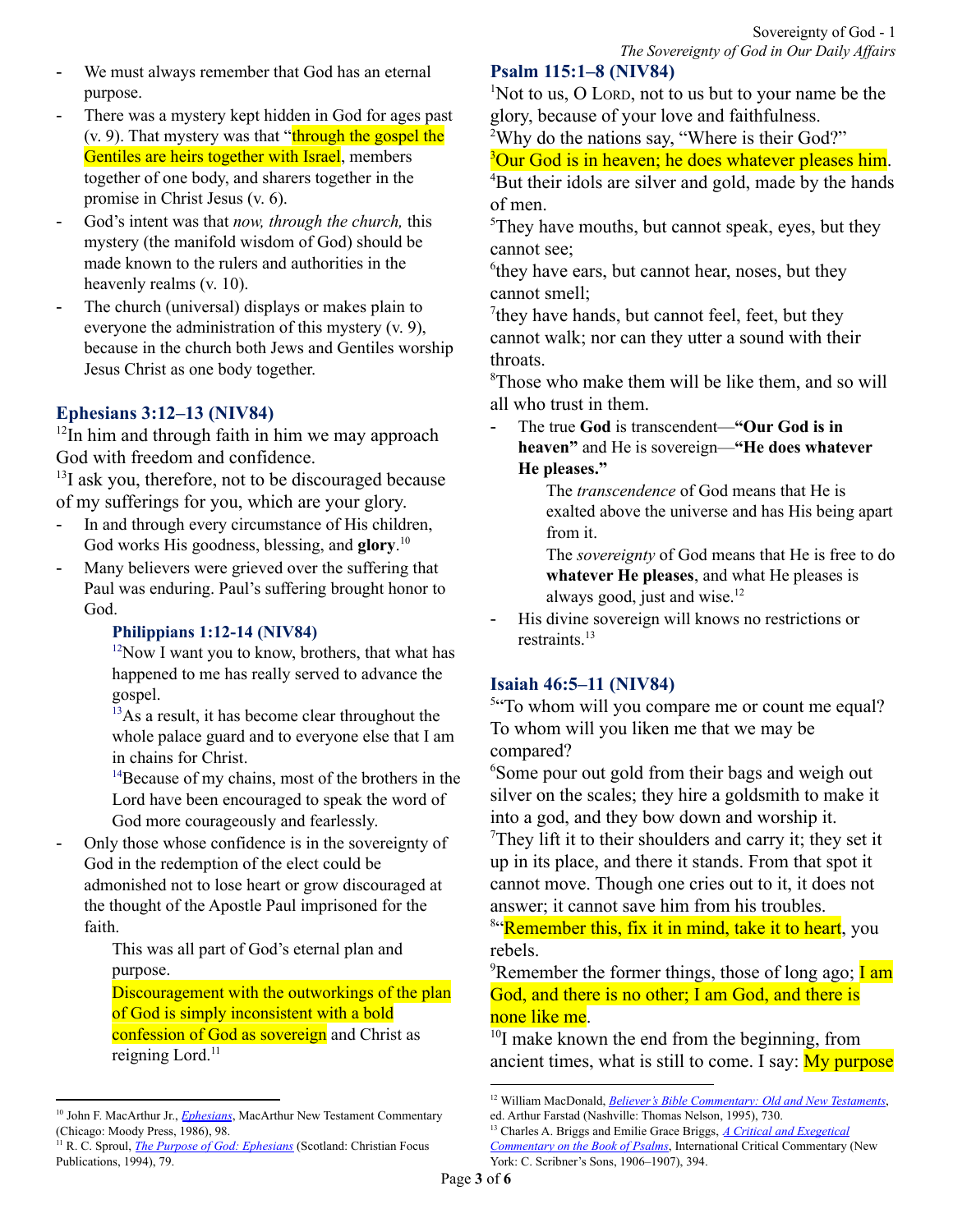- We must always remember that God has an eternal purpose.
- There was a mystery kept hidden in God for ages past (v. 9). That mystery was that "through the gospel the Gentiles are heirs together with Israel, members together of one body, and sharers together in the promise in Christ Jesus (v. 6).
- God's intent was that *now, through the church,* this mystery (the manifold wisdom of God) should be made known to the rulers and authorities in the heavenly realms (v. 10).
- The church (universal) displays or makes plain to everyone the administration of this mystery (v. 9), because in the church both Jews and Gentiles worship Jesus Christ as one body together.

# **Ephesians 3:12–13 (NIV84)**

 $12$ In him and through faith in him we may approach God with freedom and confidence.

<sup>13</sup>I ask you, therefore, not to be discouraged because of my sufferings for you, which are your glory.

- In and through every circumstance of His children, God works His goodness, blessing, and **glory**. 10
- Many believers were grieved over the suffering that Paul was enduring. Paul's suffering brought honor to God.

### **Philippians 1:12-14 (NIV84)**

 $12$ Now I want you to know, brothers, that what has happened to me has really served to advance the gospel.

<sup>13</sup>As a result, it has become clear throughout the whole palace guard and to everyone else that I am in chains for Christ.

<sup>14</sup>Because of my chains, most of the brothers in the Lord have been encouraged to speak the word of God more courageously and fearlessly.

- Only those whose confidence is in the sovereignty of God in the redemption of the elect could be admonished not to lose heart or grow discouraged at the thought of the Apostle Paul imprisoned for the faith.

> This was all part of God's eternal plan and purpose.

Discouragement with the outworkings of the plan of God is simply inconsistent with a bold confession of God as sovereign and Christ as reigning Lord.<sup>11</sup>

**Psalm 115:1–8 (NIV84)**

 $1$ Not to us, O LORD, not to us but to your name be the glory, because of your love and faithfulness.

<sup>2</sup>Why do the nations say, "Where is their God?"

<sup>3</sup>Our God is in heaven; he does whatever pleases him.

<sup>4</sup>But their idols are silver and gold, made by the hands of men.

<sup>5</sup>They have mouths, but cannot speak, eyes, but they cannot see;

<sup>6</sup>they have ears, but cannot hear, noses, but they cannot smell;

<sup>7</sup>they have hands, but cannot feel, feet, but they cannot walk; nor can they utter a sound with their throats.

<sup>8</sup>Those who make them will be like them, and so will all who trust in them.

- The true **God** is transcendent—**"Our God is in heaven"** and He is sovereign—**"He does whatever He pleases."**

> The *transcendence* of God means that He is exalted above the universe and has His being apart from it.

> The *sovereignty* of God means that He is free to do **whatever He pleases**, and what He pleases is always good, just and wise. 12

- His divine sovereign will knows no restrictions or restraints. 13

# **Isaiah 46:5–11 (NIV84)**

<sup>5"</sup>To whom will you compare me or count me equal? To whom will you liken me that we may be compared?

<sup>6</sup>Some pour out gold from their bags and weigh out silver on the scales; they hire a goldsmith to make it into a god, and they bow down and worship it.  $T$ They lift it to their shoulders and carry it; they set it up in its place, and there it stands. From that spot it cannot move. Though one cries out to it, it does not answer; it cannot save him from his troubles.

<sup>8"</sup>Remember this, fix it in mind, take it to heart, you rebels.

<sup>9</sup>Remember the former things, those of long ago; **I am** God, and there is no other; I am God, and there is none like me.

<sup>10</sup>I make known the end from the beginning, from ancient times, what is still to come. I say:  $My$  purpose

<sup>&</sup>lt;sup>10</sup> John F. MacArthur Jr., *[Ephesians](https://ref.ly/logosres/ephmntc?ref=Bible.Eph3.12-13&off=1404&ctx=hey+are+your+glory.+~In+and+through+every)*, MacArthur New Testament Commentary (Chicago: Moody Press, 1986), 98.

<sup>11</sup> R. C. Sproul, *The Purpose of God: [Ephesians](https://ref.ly/logosres/purposegod?ref=Bible.Eph3.8-9&off=2186&ctx=%2c+%E2%80%98It+is+finished!%E2%80%99%0a~Only+those+whose+con)* (Scotland: Christian Focus Publications, 1994), 79.

<sup>12</sup> William MacDonald, *Believer's Bible [Commentary:](https://ref.ly/logosres/blvrcomm?ref=Bible.Ps115.3&off=54&ctx=+all+the+world+that+~the+true+God+is+tran) Old and New Testaments*, ed. Arthur Farstad (Nashville: Thomas Nelson, 1995), 730.

<sup>13</sup> Charles A. Briggs and Emilie Grace Briggs, *A Critical and [Exegetical](https://ref.ly/logosres/icc-ps2?ref=BibleBHS.Ps115.3&off=244&ctx=leaseth%2c+He+doeth%5d.+~His+divine+sovereign) [Commentary](https://ref.ly/logosres/icc-ps2?ref=BibleBHS.Ps115.3&off=244&ctx=leaseth%2c+He+doeth%5d.+~His+divine+sovereign) on the Book of Psalms*, International Critical Commentary (New York: C. Scribner's Sons, 1906–1907), 394.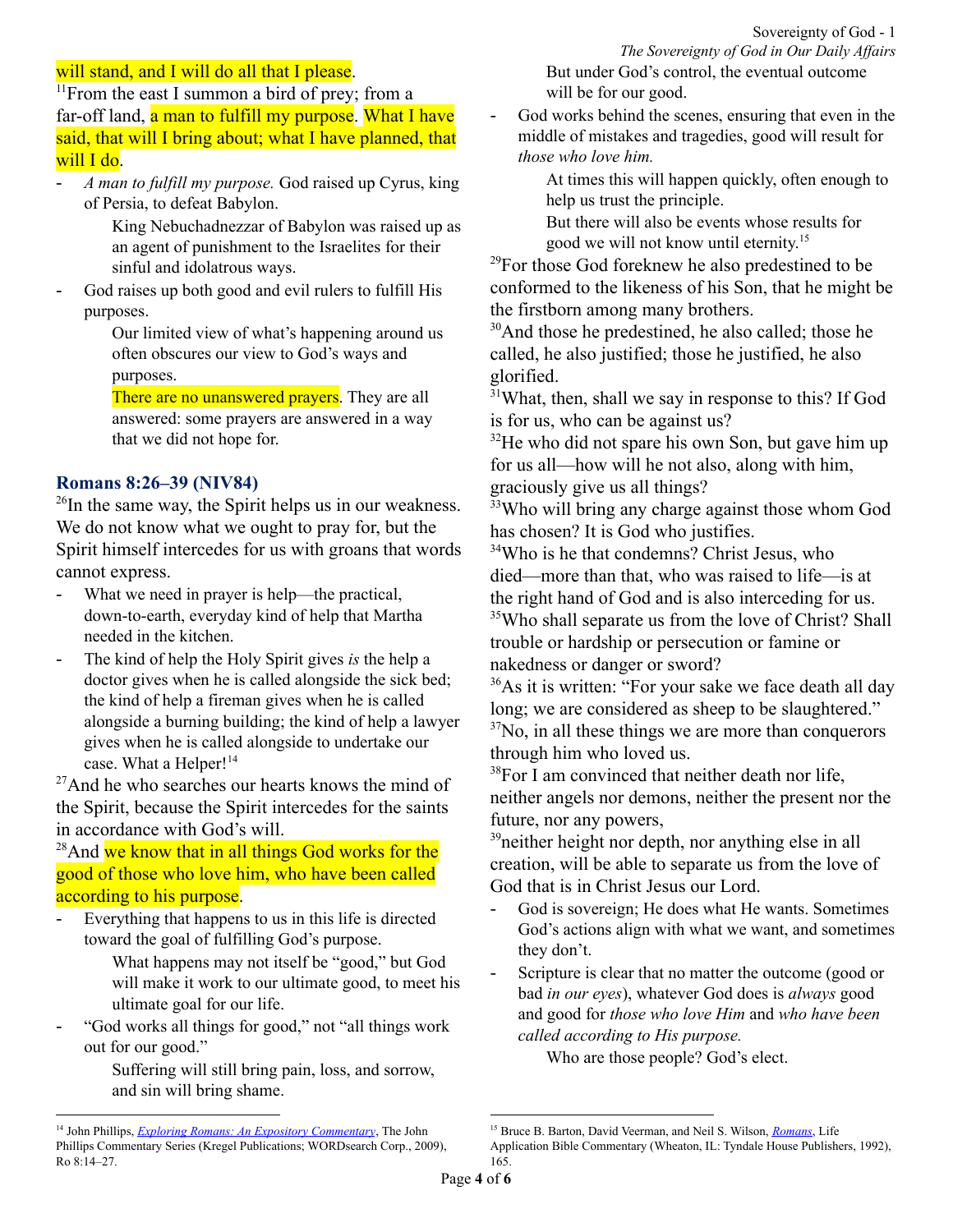# will stand, and I will do all that I please.

<sup>11</sup>From the east I summon a bird of prey; from a far-off land, a man to fulfill my purpose. What I have said, that will I bring about; what I have planned, that will I do.

- *A man to fulfill my purpose.* God raised up Cyrus, king of Persia, to defeat Babylon.

King Nebuchadnezzar of Babylon was raised up as an agent of punishment to the Israelites for their sinful and idolatrous ways.

God raises up both good and evil rulers to fulfill His purposes.

> Our limited view of what's happening around us often obscures our view to God's ways and purposes.

There are no unanswered prayers. They are all answered: some prayers are answered in a way that we did not hope for.

# **Romans 8:26–39 (NIV84)**

 $^{26}$ In the same way, the Spirit helps us in our weakness. We do not know what we ought to pray for, but the Spirit himself intercedes for us with groans that words cannot express.

- What we need in prayer is help—the practical, down-to-earth, everyday kind of help that Martha needed in the kitchen.
- The kind of help the Holy Spirit gives *is* the help a doctor gives when he is called alongside the sick bed; the kind of help a fireman gives when he is called alongside a burning building; the kind of help a lawyer gives when he is called alongside to undertake our case. What a Helper!<sup>14</sup>

 $27$ And he who searches our hearts knows the mind of the Spirit, because the Spirit intercedes for the saints in accordance with God's will.

 $28$ And we know that in all things God works for the good of those who love him, who have been called according to his purpose.

Everything that happens to us in this life is directed toward the goal of fulfilling God's purpose.

> What happens may not itself be "good," but God will make it work to our ultimate good, to meet his ultimate goal for our life.

"God works all things for good," not "all things work out for our good."

> Suffering will still bring pain, loss, and sorrow, and sin will bring shame.

*The Sovereignty of God in Our Daily Af airs* But under God's control, the eventual outcome will be for our good.

- God works behind the scenes, ensuring that even in the middle of mistakes and tragedies, good will result for *those who love him.*

> At times this will happen quickly, often enough to help us trust the principle.

But there will also be events whose results for good we will not know until eternity. 15

 $^{29}$ For those God foreknew he also predestined to be conformed to the likeness of his Son, that he might be the firstborn among many brothers.

<sup>30</sup>And those he predestined, he also called; those he called, he also justified; those he justified, he also glorified.

<sup>31</sup>What, then, shall we say in response to this? If God is for us, who can be against us?

 $32$ He who did not spare his own Son, but gave him up for us all—how will he not also, along with him, graciously give us all things?

<sup>33</sup>Who will bring any charge against those whom God has chosen? It is God who justifies.

<sup>34</sup>Who is he that condemns? Christ Jesus, who died—more than that, who was raised to life—is at the right hand of God and is also interceding for us. <sup>35</sup>Who shall separate us from the love of Christ? Shall trouble or hardship or persecution or famine or nakedness or danger or sword?

<sup>36</sup>As it is written: "For your sake we face death all day long; we are considered as sheep to be slaughtered."  $37$ No, in all these things we are more than conquerors through him who loved us.

<sup>38</sup>For I am convinced that neither death nor life, neither angels nor demons, neither the present nor the future, nor any powers,

<sup>39</sup> neither height nor depth, nor anything else in all creation, will be able to separate us from the love of God that is in Christ Jesus our Lord.

- God is sovereign; He does what He wants. Sometimes God's actions align with what we want, and sometimes they don't.
- Scripture is clear that no matter the outcome (good or bad *in our eyes*), whatever God does is *always* good and good for *those who love Him* and *who have been called according to His purpose.*

Who are those people? God's elect.

<sup>14</sup> John Phillips, *Exploring Romans: An Expository [Commentary](https://ref.ly/logosres/jpcs66ro01?ref=Bible.Ro8.14-27&off=12940&ctx=e+word+in+Romans+8.+~What+we+need+in+pray)*, The John Phillips Commentary Series (Kregel Publications; WORDsearch Corp., 2009), Ro 8:14–27.

<sup>15</sup> Bruce B. Barton, David Veerman, and Neil S. Wilson, *[Romans](https://ref.ly/logosres/lifeappro?ref=Bible.Ro8.28&off=432&ctx=Ephesians+1%3a4+niv).%0a~Everything+that+happ)*, Life Application Bible Commentary (Wheaton, IL: Tyndale House Publishers, 1992), 165.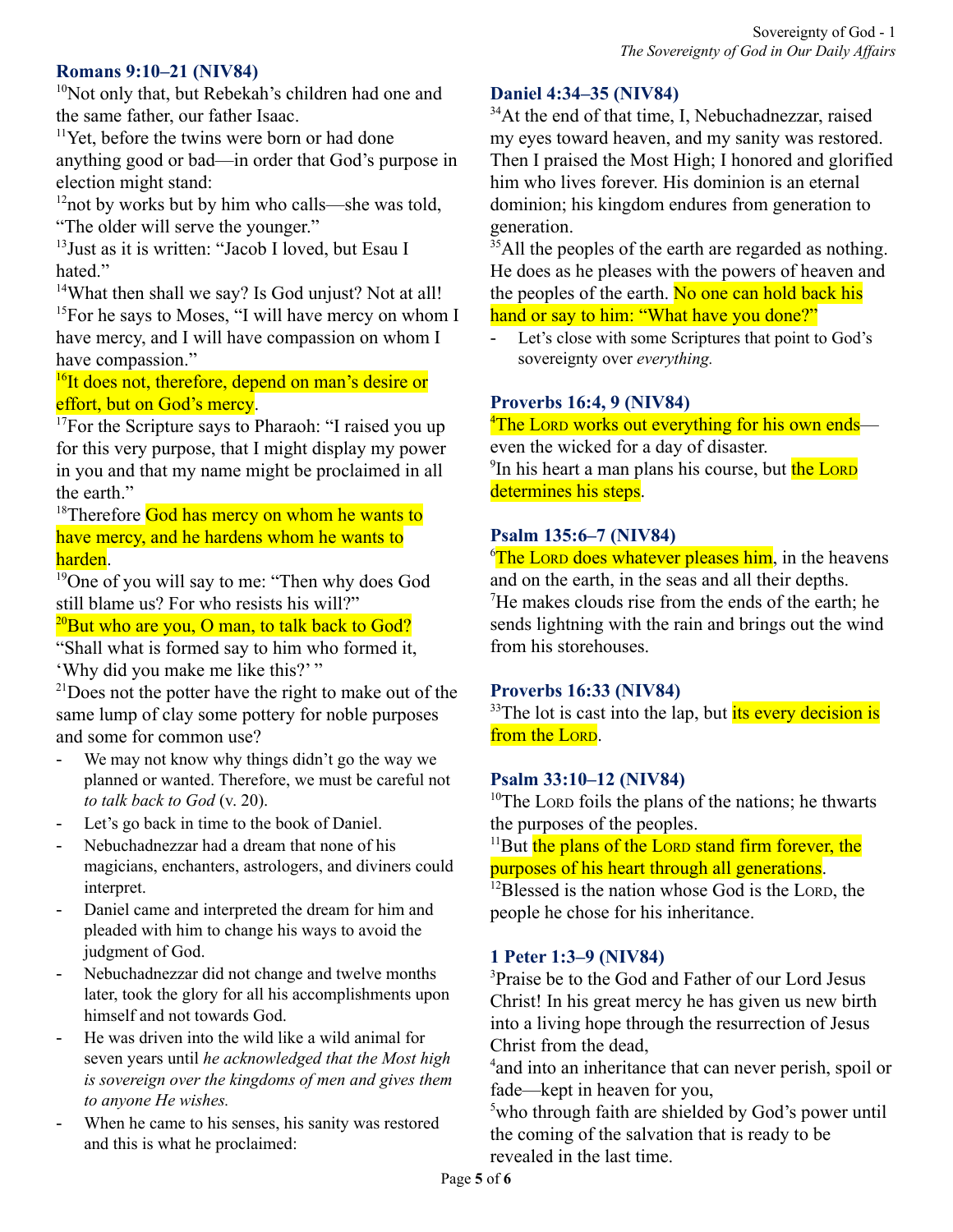### **Romans 9:10–21 (NIV84)**

<sup>10</sup>Not only that, but Rebekah's children had one and the same father, our father Isaac.

<sup>11</sup>Yet, before the twins were born or had done anything good or bad—in order that God's purpose in election might stand:

<sup>12</sup>not by works but by him who calls—she was told, "The older will serve the younger."

13 Just as it is written: "Jacob I loved, but Esau I hated."

<sup>14</sup>What then shall we say? Is God unjust? Not at all! <sup>15</sup>For he says to Moses, "I will have mercy on whom I have mercy, and I will have compassion on whom I have compassion."

<sup>16</sup>It does not, therefore, depend on man's desire or effort, but on God's mercy.

<sup>17</sup>For the Scripture says to Pharaoh: "I raised you up for this very purpose, that I might display my power in you and that my name might be proclaimed in all the earth."

<sup>18</sup>Therefore God has mercy on whom he wants to have mercy, and he hardens whom he wants to harden.

<sup>19</sup>One of you will say to me: "Then why does God still blame us? For who resists his will?"

 $^{20}$ But who are you, O man, to talk back to God?

"Shall what is formed say to him who formed it, 'Why did you make me like this?' "

 $21$ Does not the potter have the right to make out of the same lump of clay some pottery for noble purposes and some for common use?

- We may not know why things didn't go the way we planned or wanted. Therefore, we must be careful not *to talk back to God* (v. 20).
- Let's go back in time to the book of Daniel.
- Nebuchadnezzar had a dream that none of his magicians, enchanters, astrologers, and diviners could interpret.
- Daniel came and interpreted the dream for him and pleaded with him to change his ways to avoid the judgment of God.
- Nebuchadnezzar did not change and twelve months later, took the glory for all his accomplishments upon himself and not towards God.
- He was driven into the wild like a wild animal for seven years until *he acknowledged that the Most high is sovereign over the kingdoms of men and gives them to anyone He wishes.*
- When he came to his senses, his sanity was restored and this is what he proclaimed:

# **Daniel 4:34–35 (NIV84)**

<sup>34</sup>At the end of that time, I, Nebuchadnezzar, raised my eyes toward heaven, and my sanity was restored. Then I praised the Most High; I honored and glorified him who lives forever. His dominion is an eternal dominion; his kingdom endures from generation to generation.

<sup>35</sup>All the peoples of the earth are regarded as nothing. He does as he pleases with the powers of heaven and the peoples of the earth. No one can hold back his hand or say to him: "What have you done?"

- Let's close with some Scriptures that point to God's sovereignty over *everything.*

# **Proverbs 16:4, 9 (NIV84)**

<sup>4</sup>The LORD works out everything for his own endseven the wicked for a day of disaster. <sup>9</sup>In his heart a man plans his course, but the LORD determines his steps.

# **Psalm 135:6–7 (NIV84)**

 $\sigma$ <sup>6</sup>The Lorp does whatever pleases him, in the heavens and on the earth, in the seas and all their depths. <sup>7</sup>He makes clouds rise from the ends of the earth; he sends lightning with the rain and brings out the wind from his storehouses.

# **Proverbs 16:33 (NIV84)**

 $33$ The lot is cast into the lap, but its every decision is from the LORD.

### **Psalm 33:10–12 (NIV84)**

 $10$ The LORD foils the plans of the nations; he thwarts the purposes of the peoples.

<sup>11</sup>But the plans of the LORD stand firm forever, the purposes of his heart through all generations.

 $12B$ lessed is the nation whose God is the LORD, the people he chose for his inheritance.

# **1 Peter 1:3–9 (NIV84)**

<sup>3</sup>Praise be to the God and Father of our Lord Jesus Christ! In his great mercy he has given us new birth into a living hope through the resurrection of Jesus Christ from the dead,

<sup>4</sup> and into an inheritance that can never perish, spoil or fade—kept in heaven for you,

<sup>5</sup>who through faith are shielded by God's power until the coming of the salvation that is ready to be revealed in the last time.